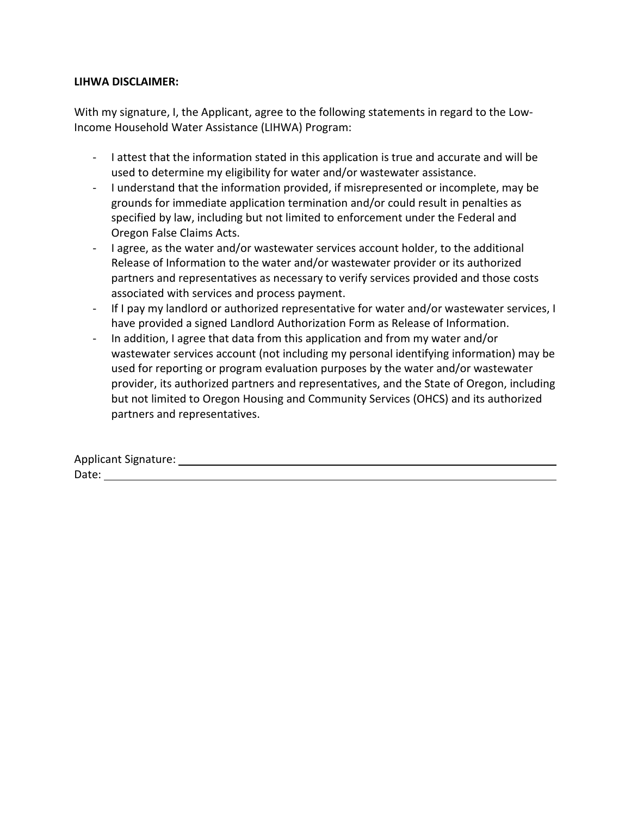## **LIHWA DISCLAIMER:**

With my signature, I, the Applicant, agree to the following statements in regard to the Low-Income Household Water Assistance (LIHWA) Program:

- I attest that the information stated in this application is true and accurate and will be used to determine my eligibility for water and/or wastewater assistance.
- I understand that the information provided, if misrepresented or incomplete, may be grounds for immediate application termination and/or could result in penalties as specified by law, including but not limited to enforcement under the Federal and Oregon False Claims Acts.
- I agree, as the water and/or wastewater services account holder, to the additional Release of Information to the water and/or wastewater provider or its authorized partners and representatives as necessary to verify services provided and those costs associated with services and process payment.
- If I pay my landlord or authorized representative for water and/or wastewater services, I have provided a signed Landlord Authorization Form as Release of Information.
- In addition, I agree that data from this application and from my water and/or wastewater services account (not including my personal identifying information) may be used for reporting or program evaluation purposes by the water and/or wastewater provider, its authorized partners and representatives, and the State of Oregon, including but not limited to Oregon Housing and Community Services (OHCS) and its authorized partners and representatives.

Applicant Signature: Date: